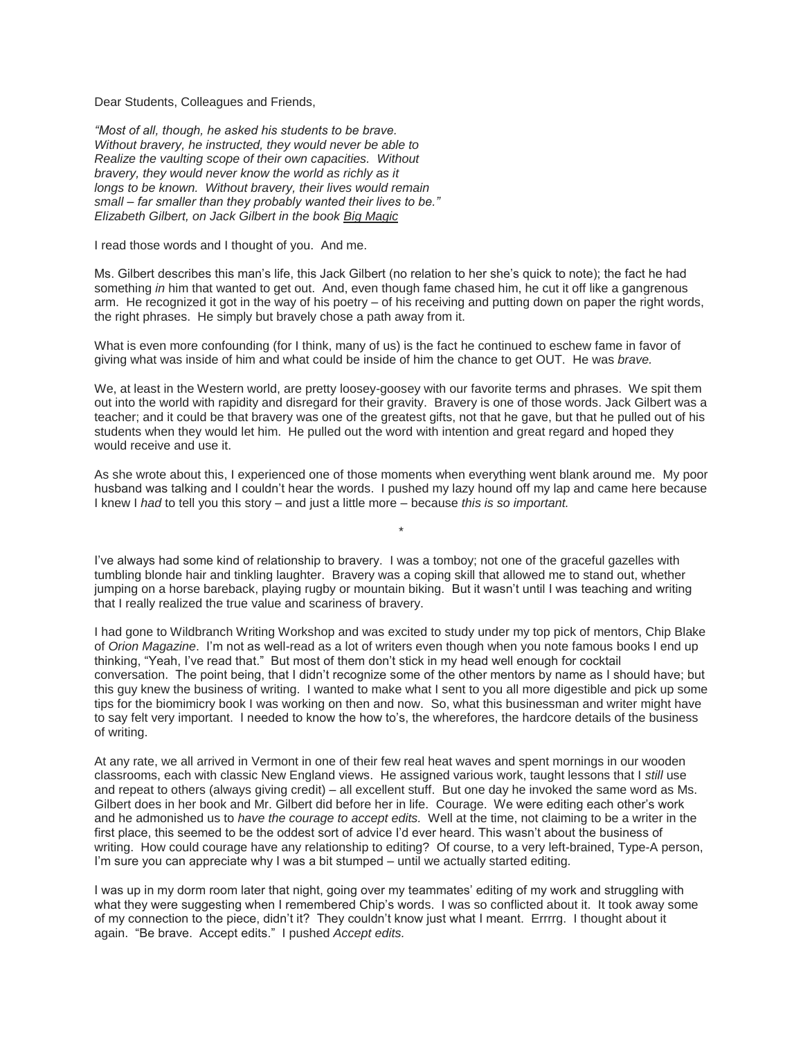Dear Students, Colleagues and Friends,

*"Most of all, though, he asked his students to be brave. Without bravery, he instructed, they would never be able to Realize the vaulting scope of their own capacities. Without bravery, they would never know the world as richly as it longs to be known. Without bravery, their lives would remain small – far smaller than they probably wanted their lives to be." Elizabeth Gilbert, on Jack Gilbert in the book Big Magic*

I read those words and I thought of you. And me.

Ms. Gilbert describes this man's life, this Jack Gilbert (no relation to her she's quick to note); the fact he had something *in* him that wanted to get out. And, even though fame chased him, he cut it off like a gangrenous arm. He recognized it got in the way of his poetry – of his receiving and putting down on paper the right words, the right phrases. He simply but bravely chose a path away from it.

What is even more confounding (for I think, many of us) is the fact he continued to eschew fame in favor of giving what was inside of him and what could be inside of him the chance to get OUT. He was *brave.*

We, at least in the Western world, are pretty loosey-goosey with our favorite terms and phrases. We spit them out into the world with rapidity and disregard for their gravity. Bravery is one of those words. Jack Gilbert was a teacher; and it could be that bravery was one of the greatest gifts, not that he gave, but that he pulled out of his students when they would let him. He pulled out the word with intention and great regard and hoped they would receive and use it.

As she wrote about this, I experienced one of those moments when everything went blank around me. My poor husband was talking and I couldn't hear the words. I pushed my lazy hound off my lap and came here because I knew I *had* to tell you this story – and just a little more – because *this is so important.*

\*

I've always had some kind of relationship to bravery. I was a tomboy; not one of the graceful gazelles with tumbling blonde hair and tinkling laughter. Bravery was a coping skill that allowed me to stand out, whether jumping on a horse bareback, playing rugby or mountain biking. But it wasn't until I was teaching and writing that I really realized the true value and scariness of bravery.

I had gone to Wildbranch Writing Workshop and was excited to study under my top pick of mentors, Chip Blake of *Orion Magazine*. I'm not as well-read as a lot of writers even though when you note famous books I end up thinking, "Yeah, I've read that." But most of them don't stick in my head well enough for cocktail conversation. The point being, that I didn't recognize some of the other mentors by name as I should have; but this guy knew the business of writing. I wanted to make what I sent to you all more digestible and pick up some tips for the biomimicry book I was working on then and now. So, what this businessman and writer might have to say felt very important. I needed to know the how to's, the wherefores, the hardcore details of the business of writing.

At any rate, we all arrived in Vermont in one of their few real heat waves and spent mornings in our wooden classrooms, each with classic New England views. He assigned various work, taught lessons that I *still* use and repeat to others (always giving credit) – all excellent stuff. But one day he invoked the same word as Ms. Gilbert does in her book and Mr. Gilbert did before her in life. Courage. We were editing each other's work and he admonished us to *have the courage to accept edits.* Well at the time, not claiming to be a writer in the first place, this seemed to be the oddest sort of advice I'd ever heard. This wasn't about the business of writing. How could courage have any relationship to editing? Of course, to a very left-brained, Type-A person, I'm sure you can appreciate why I was a bit stumped – until we actually started editing.

I was up in my dorm room later that night, going over my teammates' editing of my work and struggling with what they were suggesting when I remembered Chip's words. I was so conflicted about it. It took away some of my connection to the piece, didn't it? They couldn't know just what I meant. Errrrg. I thought about it again. "Be brave. Accept edits." I pushed *Accept edits.*